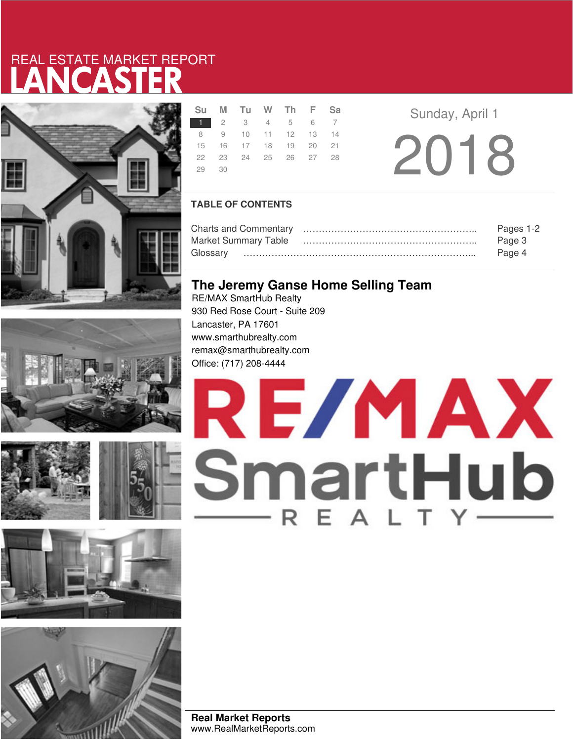# LANCASTER REAL ESTATE MARKET REPORT









|       | Su M Tu W Th F Sa    |  |  |  |  |
|-------|----------------------|--|--|--|--|
|       | 1 2 3 4 5 6 7        |  |  |  |  |
|       | 8 9 10 11 12 13 14   |  |  |  |  |
|       | 15 16 17 18 19 20 21 |  |  |  |  |
|       | 22 23 24 25 26 27 28 |  |  |  |  |
| 29 30 |                      |  |  |  |  |
|       |                      |  |  |  |  |

2018 **Sunday, April 1** 

### **TABLE OF CONTENTS**

|                             | Pages 1-2 |  |
|-----------------------------|-----------|--|
| <b>Market Summary Table</b> | Page 3    |  |
|                             | Page 4    |  |

### **The Jeremy Ganse Home Selling Team**

RE/MAX SmartHub Realty 930 Red Rose Court - Suite 209 Lancaster, PA 17601 www.smarthubrealty.com remax@smarthubrealty.com Office: (717) 208-4444



**Real Market Reports** www.RealMarketReports.com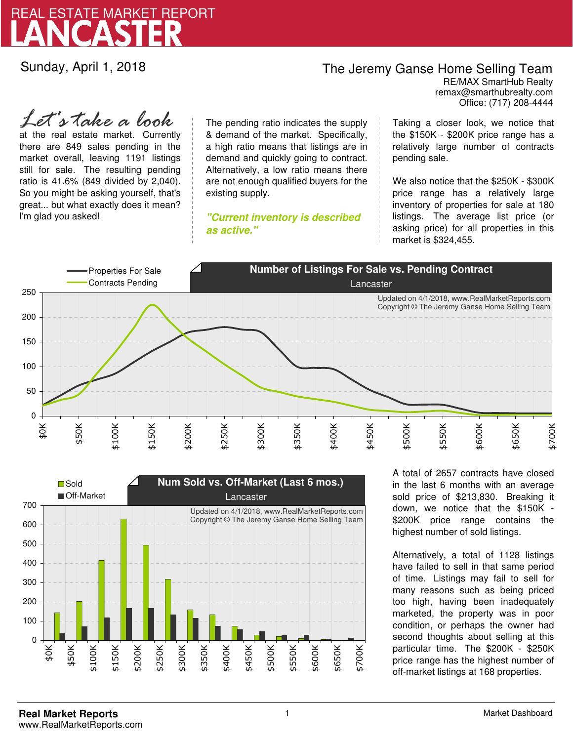

Sunday, April 1, 2018

### The Jeremy Ganse Home Selling Team

remax@smarthubrealty.com RE/MAX SmartHub Realty Office: (717) 208-4444

at the real estate market. Currently there are 849 sales pending in the market overall, leaving 1191 listings still for sale. The resulting pending ratio is 41.6% (849 divided by 2,040). So you might be asking yourself, that's great... but what exactly does it mean? I'm glad you asked! *Let's take a look*

The pending ratio indicates the supply & demand of the market. Specifically, a high ratio means that listings are in demand and quickly going to contract. Alternatively, a low ratio means there are not enough qualified buyers for the existing supply.

**"Current inventory is described as active."**

Taking a closer look, we notice that the \$150K - \$200K price range has a relatively large number of contracts pending sale.

We also notice that the \$250K - \$300K price range has a relatively large inventory of properties for sale at 180 listings. The average list price (or asking price) for all properties in this market is \$324,455.





A total of 2657 contracts have closed in the last 6 months with an average sold price of \$213,830. Breaking it down, we notice that the \$150K - \$200K price range contains the highest number of sold listings.

Alternatively, a total of 1128 listings have failed to sell in that same period of time. Listings may fail to sell for many reasons such as being priced too high, having been inadequately marketed, the property was in poor condition, or perhaps the owner had second thoughts about selling at this particular time. The \$200K - \$250K price range has the highest number of off-market listings at 168 properties.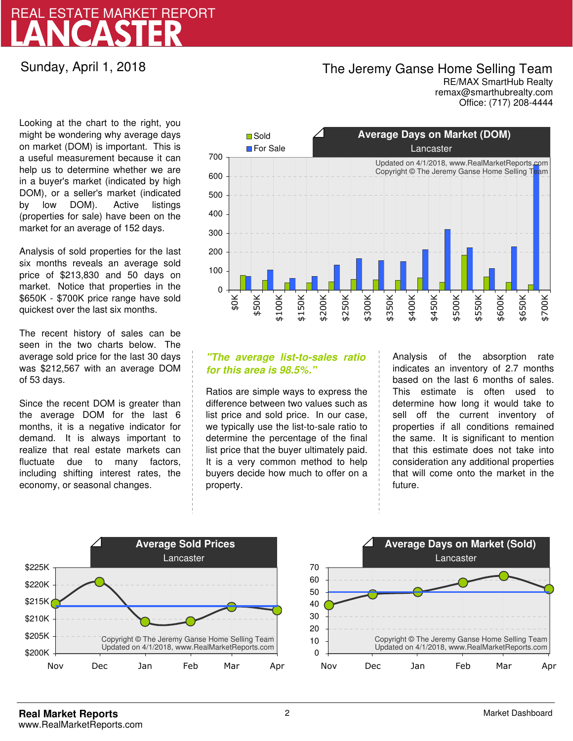## LANCASTER REAL ESTATE MARKET REPORT

Sunday, April 1, 2018

## The Jeremy Ganse Home Selling Team

remax@smarthubrealty.com RE/MAX SmartHub Realty Office: (717) 208-4444

Looking at the chart to the right, you might be wondering why average days on market (DOM) is important. This is a useful measurement because it can help us to determine whether we are in a buyer's market (indicated by high DOM), or a seller's market (indicated by low DOM). Active listings (properties for sale) have been on the market for an average of 152 days.

Analysis of sold properties for the last six months reveals an average sold price of \$213,830 and 50 days on market. Notice that properties in the \$650K - \$700K price range have sold quickest over the last six months.

The recent history of sales can be seen in the two charts below. The average sold price for the last 30 days was \$212,567 with an average DOM of 53 days.

Since the recent DOM is greater than the average DOM for the last 6 months, it is a negative indicator for demand. It is always important to realize that real estate markets can fluctuate due to many factors, including shifting interest rates, the economy, or seasonal changes.



### **"The average list-to-sales ratio for this area is 98.5%."**

Ratios are simple ways to express the difference between two values such as list price and sold price. In our case, we typically use the list-to-sale ratio to determine the percentage of the final list price that the buyer ultimately paid. It is a very common method to help buyers decide how much to offer on a property.

Analysis of the absorption rate indicates an inventory of 2.7 months based on the last 6 months of sales. This estimate is often used to determine how long it would take to sell off the current inventory of properties if all conditions remained the same. It is significant to mention that this estimate does not take into consideration any additional properties that will come onto the market in the future.



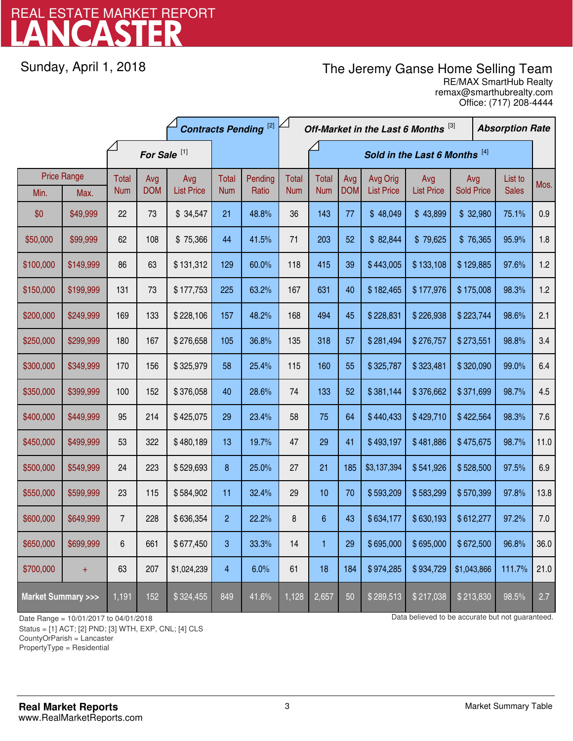# LANCASTER REAL ESTATE MARKET REPORT

Sunday, April 1, 2018

## The Jeremy Ganse Home Selling Team

remax@smarthubrealty.com RE/MAX SmartHub Realty Office: (717) 208-4444

|                                    |                    | <b>Contracts Pending [2]</b> |                         |                   |                | Off-Market in the Last 6 Months [3]<br><b>Absorption Rate</b> |            |                               |            |                   |                   |                   |  |              |      |
|------------------------------------|--------------------|------------------------------|-------------------------|-------------------|----------------|---------------------------------------------------------------|------------|-------------------------------|------------|-------------------|-------------------|-------------------|--|--------------|------|
|                                    |                    |                              | For Sale <sup>[1]</sup> |                   |                |                                                               |            | Sold in the Last 6 Months [4] |            |                   |                   |                   |  |              |      |
|                                    | <b>Price Range</b> | Total                        | Avg                     | Avg               | Total          | Pending                                                       | Total      | <b>Total</b>                  | Avg        | Avg Orig          | Avg               | Avg               |  | List to      | Mos. |
| Min.                               | Max.               | <b>Num</b>                   | <b>DOM</b>              | <b>List Price</b> | <b>Num</b>     | Ratio                                                         | <b>Num</b> | <b>Num</b>                    | <b>DOM</b> | <b>List Price</b> | <b>List Price</b> | <b>Sold Price</b> |  | <b>Sales</b> |      |
| \$0                                | \$49,999           | 22                           | 73                      | \$34,547          | 21             | 48.8%                                                         | 36         | 143                           | 77         | \$48,049          | \$43,899          | \$32,980          |  | 75.1%        | 0.9  |
| \$50,000                           | \$99,999           | 62                           | 108                     | \$75,366          | 44             | 41.5%                                                         | 71         | 203                           | 52         | \$82,844          | \$79,625          | \$76,365          |  | 95.9%        | 1.8  |
| \$100,000                          | \$149,999          | 86                           | 63                      | \$131,312         | 129            | 60.0%                                                         | 118        | 415                           | 39         | \$443,005         | \$133,108         | \$129,885         |  | 97.6%        | 1.2  |
| \$150,000                          | \$199,999          | 131                          | 73                      | \$177,753         | 225            | 63.2%                                                         | 167        | 631                           | 40         | \$182,465         | \$177,976         | \$175,008         |  | 98.3%        | 1.2  |
| \$200,000                          | \$249,999          | 169                          | 133                     | \$228,106         | 157            | 48.2%                                                         | 168        | 494                           | 45         | \$228,831         | \$226,938         | \$223,744         |  | 98.6%        | 2.1  |
| \$250,000                          | \$299,999          | 180                          | 167                     | \$276,658         | 105            | 36.8%                                                         | 135        | 318                           | 57         | \$281,494         | \$276,757         | \$273,551         |  | 98.8%        | 3.4  |
| \$300,000                          | \$349,999          | 170                          | 156                     | \$325,979         | 58             | 25.4%                                                         | 115        | 160                           | 55         | \$325,787         | \$323,481         | \$320,090         |  | 99.0%        | 6.4  |
| \$350,000                          | \$399,999          | 100                          | 152                     | \$376,058         | 40             | 28.6%                                                         | 74         | 133                           | 52         | \$381,144         | \$376,662         | \$371,699         |  | 98.7%        | 4.5  |
| \$400,000                          | \$449,999          | 95                           | 214                     | \$425,075         | 29             | 23.4%                                                         | 58         | 75                            | 64         | \$440,433         | \$429,710         | \$422,564         |  | 98.3%        | 7.6  |
| \$450,000                          | \$499,999          | 53                           | 322                     | \$480,189         | 13             | 19.7%                                                         | 47         | 29                            | 41         | \$493,197         | \$481,886         | \$475,675         |  | 98.7%        | 11.0 |
| \$500,000                          | \$549,999          | 24                           | 223                     | \$529,693         | 8              | 25.0%                                                         | 27         | 21                            | 185        | \$3,137,394       | \$541,926         | \$528,500         |  | 97.5%        | 6.9  |
| \$550,000                          | \$599,999          | 23                           | 115                     | \$584,902         | 11             | 32.4%                                                         | 29         | 10                            | 70         | \$593,209         | \$583,299         | \$570,399         |  | 97.8%        | 13.8 |
| \$600,000                          | \$649,999          | $\overline{7}$               | 228                     | \$636,354         | $\overline{c}$ | 22.2%                                                         | 8          | $6\,$                         | 43         | \$634,177         | \$630,193         | \$612,277         |  | 97.2%        | 7.0  |
| \$650,000                          | \$699,999          | 6                            | 661                     | \$677,450         | 3              | 33.3%                                                         | 14         | 1                             | 29         | \$695,000         | \$695,000         | \$672,500         |  | 96.8%        | 36.0 |
| \$700,000                          | $\ddagger$         | 63                           | 207                     | \$1,024,239       | 4              | 6.0%                                                          | 61         | 18                            | 184        | \$974,285         | \$934,729         | \$1,043,866       |  | 111.7%       | 21.0 |
| <b>Market Summary &gt;&gt;&gt;</b> |                    | 1,191                        | 152                     | \$324,455         | 849            | 41.6%                                                         | 1,128      | 2,657                         | 50         | \$289,513         | \$217,038         | \$213,830         |  | 98.5%        | 2.7  |

Status = [1] ACT; [2] PND; [3] WTH, EXP, CNL; [4] CLS

CountyOrParish = Lancaster

PropertyType = Residential

-

Date Range = 10/01/2017 to 04/01/2018 Date Range = 10/01/2017 to 04/01/2018